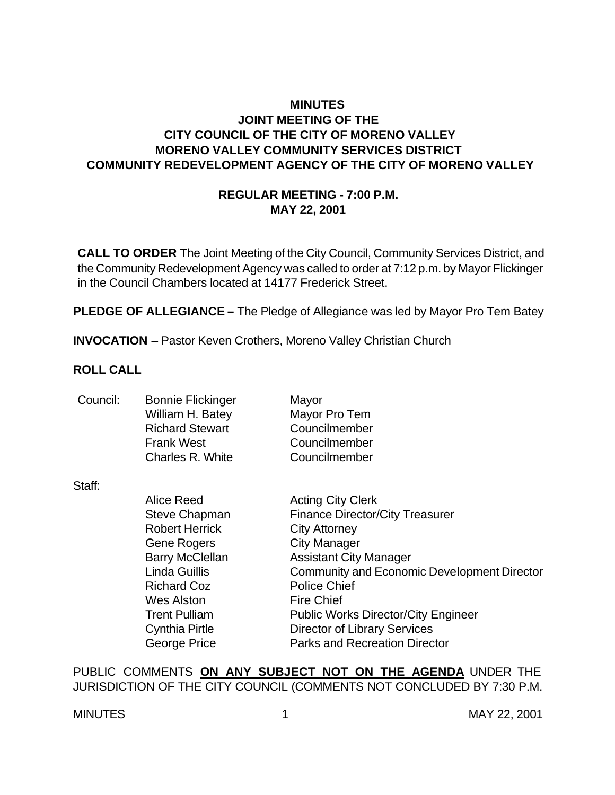## **MINUTES JOINT MEETING OF THE CITY COUNCIL OF THE CITY OF MORENO VALLEY MORENO VALLEY COMMUNITY SERVICES DISTRICT COMMUNITY REDEVELOPMENT AGENCY OF THE CITY OF MORENO VALLEY**

### **REGULAR MEETING - 7:00 P.M. MAY 22, 2001**

**CALL TO ORDER** The Joint Meeting of the City Council, Community Services District, and the Community Redevelopment Agency was called to order at 7:12 p.m. by Mayor Flickinger in the Council Chambers located at 14177 Frederick Street.

**PLEDGE OF ALLEGIANCE –** The Pledge of Allegiance was led by Mayor Pro Tem Batey

**INVOCATION** – Pastor Keven Crothers, Moreno Valley Christian Church

#### **ROLL CALL**

| Council: | <b>Bonnie Flickinger</b><br>William H. Batey<br><b>Richard Stewart</b><br><b>Frank West</b><br>Charles R. White | Mayor<br>Mayor Pro Tem<br>Councilmember<br>Councilmember<br>Councilmember |
|----------|-----------------------------------------------------------------------------------------------------------------|---------------------------------------------------------------------------|
| Staff:   |                                                                                                                 |                                                                           |
|          | Alice Reed                                                                                                      | <b>Acting City Clerk</b>                                                  |
|          | <b>Steve Chapman</b>                                                                                            | <b>Finance Director/City Treasurer</b>                                    |
|          | <b>Robert Herrick</b>                                                                                           | <b>City Attorney</b>                                                      |
|          | <b>Gene Rogers</b>                                                                                              | <b>City Manager</b>                                                       |
|          | <b>Barry McClellan</b>                                                                                          | <b>Assistant City Manager</b>                                             |
|          | <b>Linda Guillis</b>                                                                                            | Community and Economic Development Director                               |
|          | <b>Richard Coz</b>                                                                                              | <b>Police Chief</b>                                                       |
|          | <b>Wes Alston</b>                                                                                               | <b>Fire Chief</b>                                                         |
|          | <b>Trent Pulliam</b>                                                                                            | <b>Public Works Director/City Engineer</b>                                |
|          | Cynthia Pirtle                                                                                                  | <b>Director of Library Services</b>                                       |
|          | George Price                                                                                                    | <b>Parks and Recreation Director</b>                                      |
|          |                                                                                                                 |                                                                           |

PUBLIC COMMENTS **ON ANY SUBJECT NOT ON THE AGENDA** UNDER THE JURISDICTION OF THE CITY COUNCIL (COMMENTS NOT CONCLUDED BY 7:30 P.M.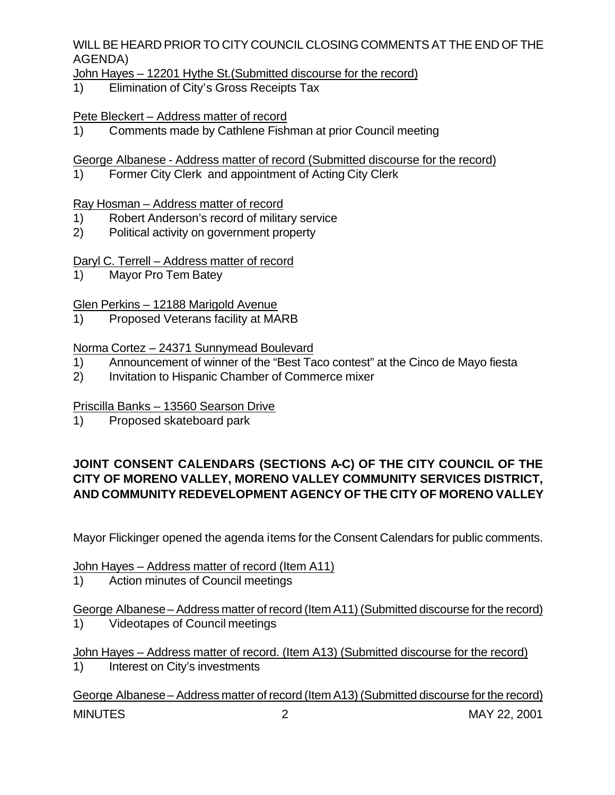## WILL BE HEARD PRIOR TO CITY COUNCIL CLOSING COMMENTS AT THE END OF THE AGENDA)

John Hayes – 12201 Hythe St.(Submitted discourse for the record)

1) Elimination of City's Gross Receipts Tax

## Pete Bleckert – Address matter of record

1) Comments made by Cathlene Fishman at prior Council meeting

George Albanese - Address matter of record (Submitted discourse for the record)

1) Former City Clerk and appointment of Acting City Clerk

## Ray Hosman – Address matter of record

- 1) Robert Anderson's record of military service
- 2) Political activity on government property

# Daryl C. Terrell – Address matter of record

1) Mayor Pro Tem Batey

# Glen Perkins – 12188 Marigold Avenue

1) Proposed Veterans facility at MARB

# Norma Cortez – 24371 Sunnymead Boulevard

- 1) Announcement of winner of the "Best Taco contest" at the Cinco de Mayo fiesta
- 2) Invitation to Hispanic Chamber of Commerce mixer

# Priscilla Banks – 13560 Searson Drive

1) Proposed skateboard park

# **JOINT CONSENT CALENDARS (SECTIONS A-C) OF THE CITY COUNCIL OF THE CITY OF MORENO VALLEY, MORENO VALLEY COMMUNITY SERVICES DISTRICT, AND COMMUNITY REDEVELOPMENT AGENCY OF THE CITY OF MORENO VALLEY**

Mayor Flickinger opened the agenda items for the Consent Calendars for public comments.

John Hayes – Address matter of record (Item A11)

1) Action minutes of Council meetings

George Albanese – Address matter of record (Item A11) (Submitted discourse for the record) 1) Videotapes of Council meetings

John Hayes – Address matter of record. (Item A13) (Submitted discourse for the record) 1) Interest on City's investments

MINUTES 2 MAY 22, 2001 George Albanese – Address matter of record (Item A13) (Submitted discourse for the record)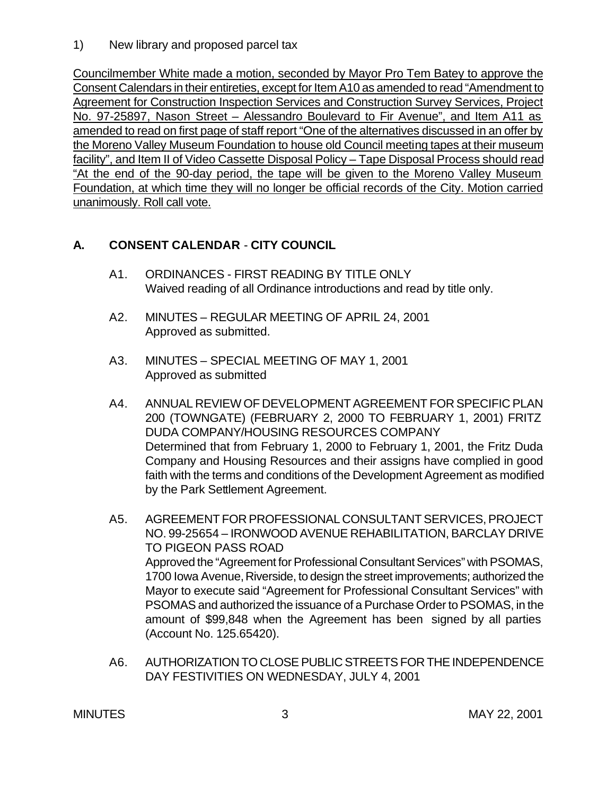1) New library and proposed parcel tax

Councilmember White made a motion, seconded by Mayor Pro Tem Batey to approve the Consent Calendars in their entireties, except for Item A10 as amended to read "Amendment to Agreement for Construction Inspection Services and Construction Survey Services, Project No. 97-25897, Nason Street – Alessandro Boulevard to Fir Avenue", and Item A11 as amended to read on first page of staff report "One of the alternatives discussed in an offer by the Moreno Valley Museum Foundation to house old Council meeting tapes at their museum facility", and Item II of Video Cassette Disposal Policy – Tape Disposal Process should read "At the end of the 90-day period, the tape will be given to the Moreno Valley Museum Foundation, at which time they will no longer be official records of the City. Motion carried unanimously. Roll call vote.

# **A. CONSENT CALENDAR** - **CITY COUNCIL**

- A1. ORDINANCES FIRST READING BY TITLE ONLY Waived reading of all Ordinance introductions and read by title only.
- A2. MINUTES REGULAR MEETING OF APRIL 24, 2001 Approved as submitted.
- A3. MINUTES SPECIAL MEETING OF MAY 1, 2001 Approved as submitted
- A4. ANNUAL REVIEW OF DEVELOPMENT AGREEMENT FOR SPECIFIC PLAN 200 (TOWNGATE) (FEBRUARY 2, 2000 TO FEBRUARY 1, 2001) FRITZ DUDA COMPANY/HOUSING RESOURCES COMPANY Determined that from February 1, 2000 to February 1, 2001, the Fritz Duda Company and Housing Resources and their assigns have complied in good faith with the terms and conditions of the Development Agreement as modified by the Park Settlement Agreement.
- A5. AGREEMENT FOR PROFESSIONAL CONSULTANT SERVICES, PROJECT NO. 99-25654 – IRONWOOD AVENUE REHABILITATION, BARCLAY DRIVE TO PIGEON PASS ROAD Approved the "Agreement for Professional Consultant Services" with PSOMAS, 1700 Iowa Avenue, Riverside, to design the street improvements; authorized the Mayor to execute said "Agreement for Professional Consultant Services" with PSOMAS and authorized the issuance of a Purchase Order to PSOMAS, in the amount of \$99,848 when the Agreement has been signed by all parties (Account No. 125.65420).
- A6. AUTHORIZATION TO CLOSE PUBLIC STREETS FOR THE INDEPENDENCE DAY FESTIVITIES ON WEDNESDAY, JULY 4, 2001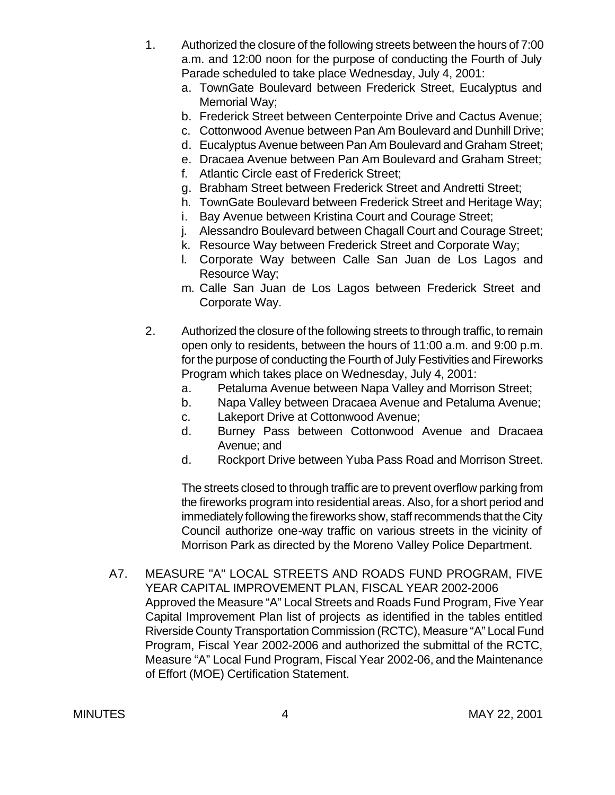- 1. Authorized the closure of the following streets between the hours of 7:00 a.m. and 12:00 noon for the purpose of conducting the Fourth of July Parade scheduled to take place Wednesday, July 4, 2001:
	- a. TownGate Boulevard between Frederick Street, Eucalyptus and Memorial Way;
	- b. Frederick Street between Centerpointe Drive and Cactus Avenue;
	- c. Cottonwood Avenue between Pan Am Boulevard and Dunhill Drive;
	- d. Eucalyptus Avenue between Pan Am Boulevard and Graham Street;
	- e. Dracaea Avenue between Pan Am Boulevard and Graham Street;
	- f. Atlantic Circle east of Frederick Street;
	- g. Brabham Street between Frederick Street and Andretti Street;
	- h. TownGate Boulevard between Frederick Street and Heritage Way;
	- i. Bay Avenue between Kristina Court and Courage Street;
	- j. Alessandro Boulevard between Chagall Court and Courage Street;
	- k. Resource Way between Frederick Street and Corporate Way;
	- l. Corporate Way between Calle San Juan de Los Lagos and Resource Way;
	- m. Calle San Juan de Los Lagos between Frederick Street and Corporate Way.
- 2. Authorized the closure of the following streets to through traffic, to remain open only to residents, between the hours of 11:00 a.m. and 9:00 p.m. for the purpose of conducting the Fourth of July Festivities and Fireworks Program which takes place on Wednesday, July 4, 2001:
	- a. Petaluma Avenue between Napa Valley and Morrison Street;
	- b. Napa Valley between Dracaea Avenue and Petaluma Avenue;
	- c. Lakeport Drive at Cottonwood Avenue;
	- d. Burney Pass between Cottonwood Avenue and Dracaea Avenue; and
	- d. Rockport Drive between Yuba Pass Road and Morrison Street.

The streets closed to through traffic are to prevent overflow parking from the fireworks program into residential areas. Also, for a short period and immediately following the fireworks show, staff recommends that the City Council authorize one-way traffic on various streets in the vicinity of Morrison Park as directed by the Moreno Valley Police Department.

A7. MEASURE "A" LOCAL STREETS AND ROADS FUND PROGRAM, FIVE YEAR CAPITAL IMPROVEMENT PLAN, FISCAL YEAR 2002-2006 Approved the Measure "A" Local Streets and Roads Fund Program, Five Year Capital Improvement Plan list of projects as identified in the tables entitled Riverside County Transportation Commission (RCTC), Measure "A" Local Fund Program, Fiscal Year 2002-2006 and authorized the submittal of the RCTC, Measure "A" Local Fund Program, Fiscal Year 2002-06, and the Maintenance of Effort (MOE) Certification Statement.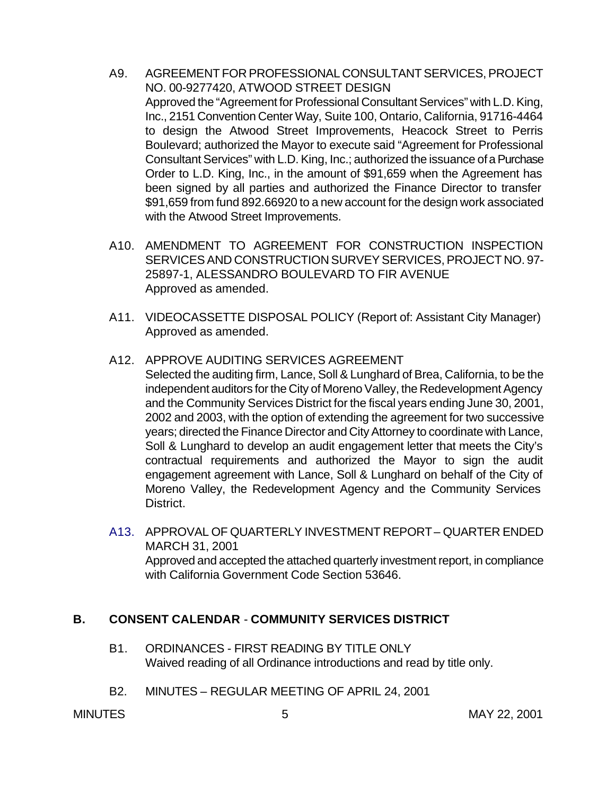- A9. AGREEMENT FOR PROFESSIONAL CONSULTANT SERVICES, PROJECT NO. 00-9277420, ATWOOD STREET DESIGN Approved the "Agreement for Professional Consultant Services" with L.D. King, Inc., 2151 Convention Center Way, Suite 100, Ontario, California, 91716-4464 to design the Atwood Street Improvements, Heacock Street to Perris Boulevard; authorized the Mayor to execute said "Agreement for Professional Consultant Services" with L.D. King, Inc.; authorized the issuance of a Purchase Order to L.D. King, Inc., in the amount of \$91,659 when the Agreement has been signed by all parties and authorized the Finance Director to transfer \$91,659 from fund 892.66920 to a new account for the design work associated with the Atwood Street Improvements.
- A10. AMENDMENT TO AGREEMENT FOR CONSTRUCTION INSPECTION SERVICES AND CONSTRUCTION SURVEY SERVICES, PROJECT NO. 97- 25897-1, ALESSANDRO BOULEVARD TO FIR AVENUE Approved as amended.
- A11. VIDEOCASSETTE DISPOSAL POLICY (Report of: Assistant City Manager) Approved as amended.
- A12. APPROVE AUDITING SERVICES AGREEMENT Selected the auditing firm, Lance, Soll & Lunghard of Brea, California, to be the independent auditors for the City of Moreno Valley, the Redevelopment Agency and the Community Services District for the fiscal years ending June 30, 2001, 2002 and 2003, with the option of extending the agreement for two successive years; directed the Finance Director and City Attorney to coordinate with Lance, Soll & Lunghard to develop an audit engagement letter that meets the City's contractual requirements and authorized the Mayor to sign the audit engagement agreement with Lance, Soll & Lunghard on behalf of the City of Moreno Valley, the Redevelopment Agency and the Community Services District.
- A13. APPROVAL OF QUARTERLY INVESTMENT REPORT QUARTER ENDED MARCH 31, 2001 Approved and accepted the attached quarterly investment report, in compliance with California Government Code Section 53646.

## **B. CONSENT CALENDAR** - **COMMUNITY SERVICES DISTRICT**

- B1. ORDINANCES FIRST READING BY TITLE ONLY Waived reading of all Ordinance introductions and read by title only.
- B2. MINUTES REGULAR MEETING OF APRIL 24, 2001

MINUTES 6 5 MAY 22, 2001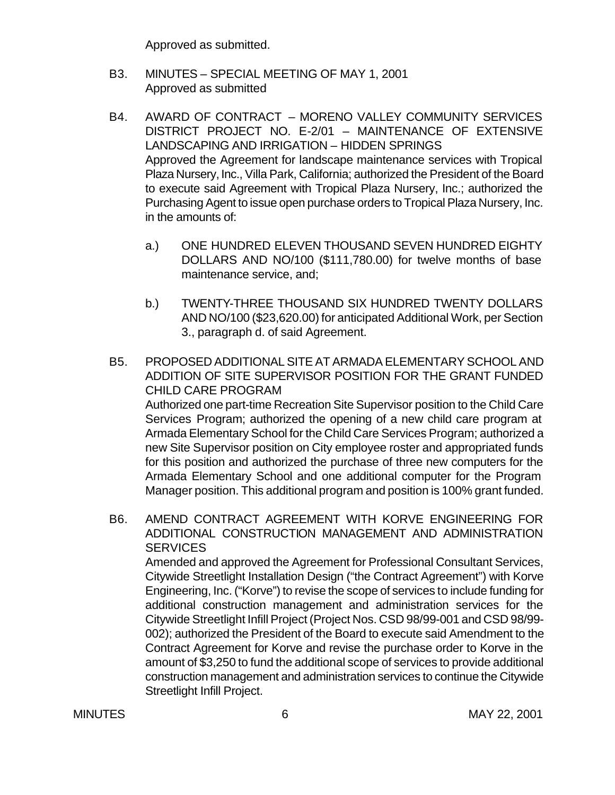Approved as submitted.

- B3. MINUTES SPECIAL MEETING OF MAY 1, 2001 Approved as submitted
- B4. AWARD OF CONTRACT MORENO VALLEY COMMUNITY SERVICES DISTRICT PROJECT NO. E-2/01 – MAINTENANCE OF EXTENSIVE LANDSCAPING AND IRRIGATION – HIDDEN SPRINGS Approved the Agreement for landscape maintenance services with Tropical Plaza Nursery, Inc., Villa Park, California; authorized the President of the Board to execute said Agreement with Tropical Plaza Nursery, Inc.; authorized the Purchasing Agent to issue open purchase orders to Tropical Plaza Nursery, Inc. in the amounts of:
	- a.) ONE HUNDRED ELEVEN THOUSAND SEVEN HUNDRED EIGHTY DOLLARS AND NO/100 (\$111,780.00) for twelve months of base maintenance service, and;
	- b.) TWENTY-THREE THOUSAND SIX HUNDRED TWENTY DOLLARS AND NO/100 (\$23,620.00) for anticipated Additional Work, per Section 3., paragraph d. of said Agreement.
- B5. PROPOSED ADDITIONAL SITE AT ARMADA ELEMENTARY SCHOOL AND ADDITION OF SITE SUPERVISOR POSITION FOR THE GRANT FUNDED CHILD CARE PROGRAM

Authorized one part-time Recreation Site Supervisor position to the Child Care Services Program; authorized the opening of a new child care program at Armada Elementary School for the Child Care Services Program; authorized a new Site Supervisor position on City employee roster and appropriated funds for this position and authorized the purchase of three new computers for the Armada Elementary School and one additional computer for the Program Manager position. This additional program and position is 100% grant funded.

B6. AMEND CONTRACT AGREEMENT WITH KORVE ENGINEERING FOR ADDITIONAL CONSTRUCTION MANAGEMENT AND ADMINISTRATION **SERVICES** 

Amended and approved the Agreement for Professional Consultant Services, Citywide Streetlight Installation Design ("the Contract Agreement") with Korve Engineering, Inc. ("Korve") to revise the scope of services to include funding for additional construction management and administration services for the Citywide Streetlight Infill Project (Project Nos. CSD 98/99-001 and CSD 98/99- 002); authorized the President of the Board to execute said Amendment to the Contract Agreement for Korve and revise the purchase order to Korve in the amount of \$3,250 to fund the additional scope of services to provide additional construction management and administration services to continue the Citywide Streetlight Infill Project.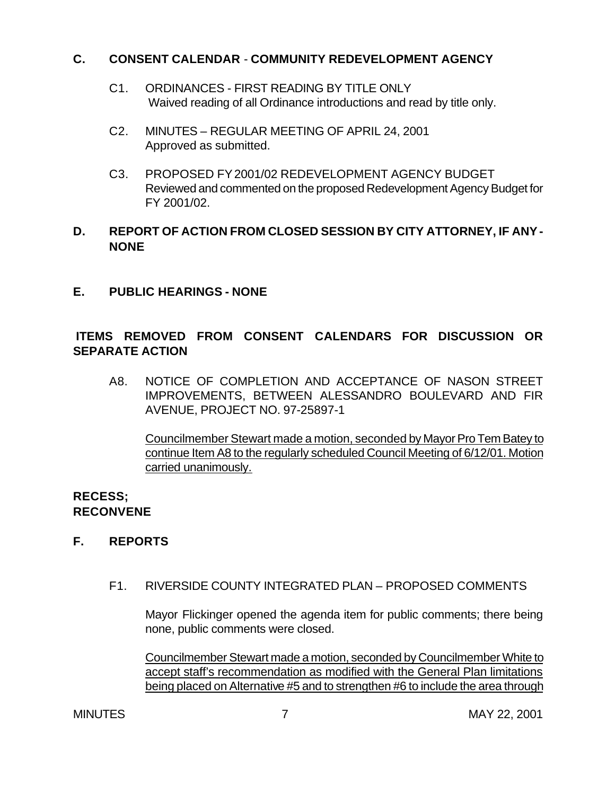#### **C. CONSENT CALENDAR** - **COMMUNITY REDEVELOPMENT AGENCY**

- C1. ORDINANCES FIRST READING BY TITLE ONLY Waived reading of all Ordinance introductions and read by title only.
- C2. MINUTES REGULAR MEETING OF APRIL 24, 2001 Approved as submitted.
- C3. PROPOSED FY 2001/02 REDEVELOPMENT AGENCY BUDGET Reviewed and commented on the proposed Redevelopment Agency Budget for FY 2001/02.

### **D. REPORT OF ACTION FROM CLOSED SESSION BY CITY ATTORNEY, IF ANY - NONE**

# **E. PUBLIC HEARINGS - NONE**

## **ITEMS REMOVED FROM CONSENT CALENDARS FOR DISCUSSION OR SEPARATE ACTION**

A8. NOTICE OF COMPLETION AND ACCEPTANCE OF NASON STREET IMPROVEMENTS, BETWEEN ALESSANDRO BOULEVARD AND FIR AVENUE, PROJECT NO. 97-25897-1

Councilmember Stewart made a motion, seconded by Mayor Pro Tem Batey to continue Item A8 to the regularly scheduled Council Meeting of 6/12/01. Motion carried unanimously.

### **RECESS; RECONVENE**

## **F. REPORTS**

F1. RIVERSIDE COUNTY INTEGRATED PLAN – PROPOSED COMMENTS

Mayor Flickinger opened the agenda item for public comments; there being none, public comments were closed.

Councilmember Stewart made a motion, seconded by Councilmember White to accept staff's recommendation as modified with the General Plan limitations being placed on Alternative #5 and to strengthen #6 to include the area through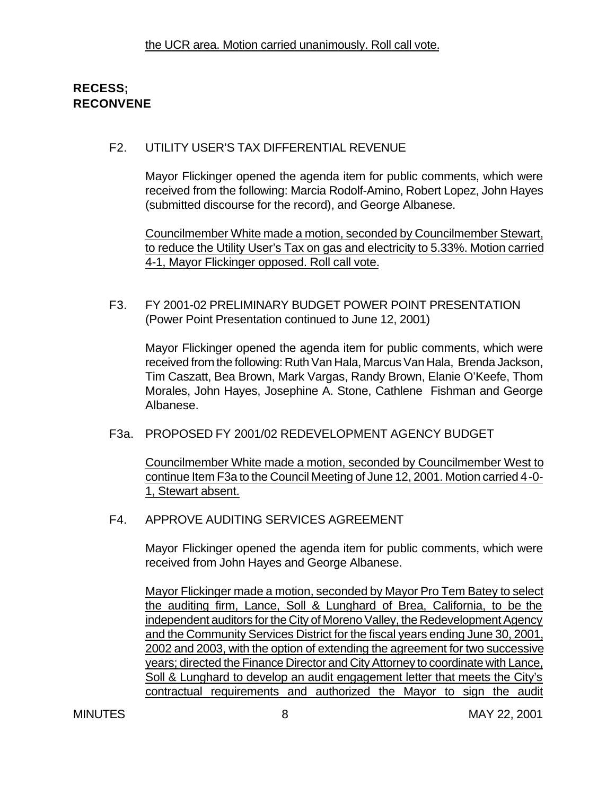# **RECESS; RECONVENE**

# F2. UTILITY USER'S TAX DIFFERENTIAL REVENUE

Mayor Flickinger opened the agenda item for public comments, which were received from the following: Marcia Rodolf-Amino, Robert Lopez, John Hayes (submitted discourse for the record), and George Albanese.

Councilmember White made a motion, seconded by Councilmember Stewart, to reduce the Utility User's Tax on gas and electricity to 5.33%. Motion carried 4-1, Mayor Flickinger opposed. Roll call vote.

F3. FY 2001-02 PRELIMINARY BUDGET POWER POINT PRESENTATION (Power Point Presentation continued to June 12, 2001)

Mayor Flickinger opened the agenda item for public comments, which were received from the following: Ruth Van Hala, Marcus Van Hala, Brenda Jackson, Tim Caszatt, Bea Brown, Mark Vargas, Randy Brown, Elanie O'Keefe, Thom Morales, John Hayes, Josephine A. Stone, Cathlene Fishman and George Albanese.

## F3a. PROPOSED FY 2001/02 REDEVELOPMENT AGENCY BUDGET

Councilmember White made a motion, seconded by Councilmember West to continue Item F3a to the Council Meeting of June 12, 2001. Motion carried 4-0- 1, Stewart absent.

F4. APPROVE AUDITING SERVICES AGREEMENT

Mayor Flickinger opened the agenda item for public comments, which were received from John Hayes and George Albanese.

Mayor Flickinger made a motion, seconded by Mayor Pro Tem Batey to select the auditing firm, Lance, Soll & Lunghard of Brea, California, to be the independent auditors for the City of Moreno Valley, the Redevelopment Agency and the Community Services District for the fiscal years ending June 30, 2001, 2002 and 2003, with the option of extending the agreement for two successive years; directed the Finance Director and City Attorney to coordinate with Lance, Soll & Lunghard to develop an audit engagement letter that meets the City's contractual requirements and authorized the Mayor to sign the audit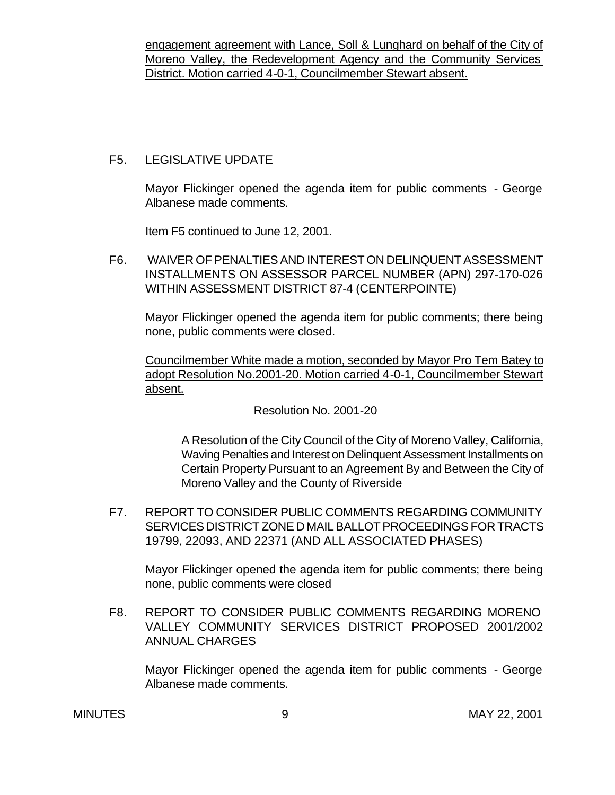engagement agreement with Lance, Soll & Lunghard on behalf of the City of Moreno Valley, the Redevelopment Agency and the Community Services District. Motion carried 4-0-1, Councilmember Stewart absent.

#### F5. LEGISLATIVE UPDATE

Mayor Flickinger opened the agenda item for public comments - George Albanese made comments.

Item F5 continued to June 12, 2001.

F6. WAIVER OF PENALTIES AND INTEREST ON DELINQUENT ASSESSMENT INSTALLMENTS ON ASSESSOR PARCEL NUMBER (APN) 297-170-026 WITHIN ASSESSMENT DISTRICT 87-4 (CENTERPOINTE)

Mayor Flickinger opened the agenda item for public comments; there being none, public comments were closed.

Councilmember White made a motion, seconded by Mayor Pro Tem Batey to adopt Resolution No.2001-20. Motion carried 4-0-1, Councilmember Stewart absent.

Resolution No. 2001-20

A Resolution of the City Council of the City of Moreno Valley, California, Waving Penalties and Interest on Delinquent Assessment Installments on Certain Property Pursuant to an Agreement By and Between the City of Moreno Valley and the County of Riverside

F7. REPORT TO CONSIDER PUBLIC COMMENTS REGARDING COMMUNITY SERVICES DISTRICT ZONE D MAIL BALLOT PROCEEDINGS FOR TRACTS 19799, 22093, AND 22371 (AND ALL ASSOCIATED PHASES)

Mayor Flickinger opened the agenda item for public comments; there being none, public comments were closed

F8. REPORT TO CONSIDER PUBLIC COMMENTS REGARDING MORENO VALLEY COMMUNITY SERVICES DISTRICT PROPOSED 2001/2002 ANNUAL CHARGES

Mayor Flickinger opened the agenda item for public comments - George Albanese made comments.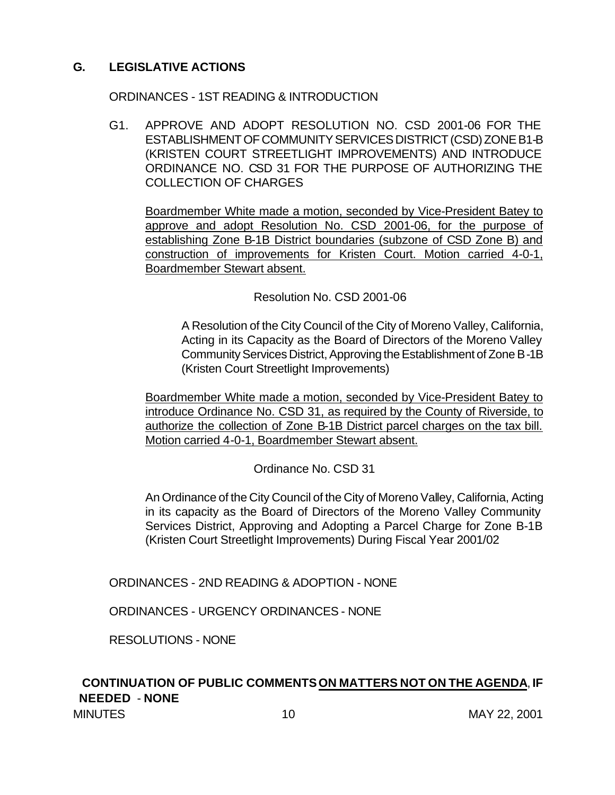#### **G. LEGISLATIVE ACTIONS**

ORDINANCES - 1ST READING & INTRODUCTION

G1. APPROVE AND ADOPT RESOLUTION NO. CSD 2001-06 FOR THE ESTABLISHMENT OF COMMUNITY SERVICES DISTRICT (CSD) ZONE B1-B (KRISTEN COURT STREETLIGHT IMPROVEMENTS) AND INTRODUCE ORDINANCE NO. CSD 31 FOR THE PURPOSE OF AUTHORIZING THE COLLECTION OF CHARGES

Boardmember White made a motion, seconded by Vice-President Batey to approve and adopt Resolution No. CSD 2001-06, for the purpose of establishing Zone B-1B District boundaries (subzone of CSD Zone B) and construction of improvements for Kristen Court. Motion carried 4-0-1, Boardmember Stewart absent.

Resolution No. CSD 2001-06

A Resolution of the City Council of the City of Moreno Valley, California, Acting in its Capacity as the Board of Directors of the Moreno Valley Community Services District, Approving the Establishment of Zone B-1B (Kristen Court Streetlight Improvements)

Boardmember White made a motion, seconded by Vice-President Batey to introduce Ordinance No. CSD 31, as required by the County of Riverside, to authorize the collection of Zone B-1B District parcel charges on the tax bill. Motion carried 4-0-1, Boardmember Stewart absent.

Ordinance No. CSD 31

An Ordinance of the City Council of the City of Moreno Valley, California, Acting in its capacity as the Board of Directors of the Moreno Valley Community Services District, Approving and Adopting a Parcel Charge for Zone B-1B (Kristen Court Streetlight Improvements) During Fiscal Year 2001/02

ORDINANCES - 2ND READING & ADOPTION - NONE

ORDINANCES - URGENCY ORDINANCES - NONE

RESOLUTIONS - NONE

### MINUTES 10 MAY 22, 2001  **CONTINUATION OF PUBLIC COMMENTS ON MATTERS NOT ON THE AGENDA**, **IF NEEDED** - **NONE**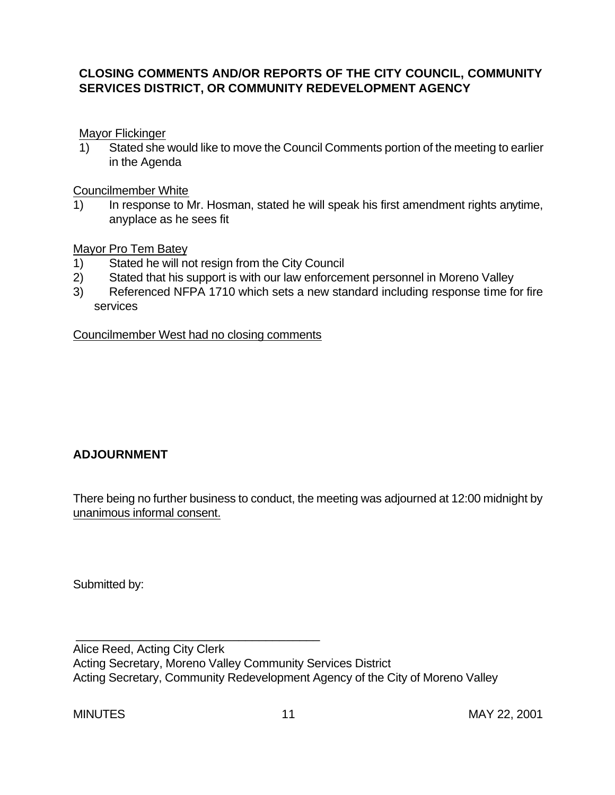# **CLOSING COMMENTS AND/OR REPORTS OF THE CITY COUNCIL, COMMUNITY SERVICES DISTRICT, OR COMMUNITY REDEVELOPMENT AGENCY**

#### Mayor Flickinger

1) Stated she would like to move the Council Comments portion of the meeting to earlier in the Agenda

### Councilmember White

1) In response to Mr. Hosman, stated he will speak his first amendment rights anytime, anyplace as he sees fit

## Mayor Pro Tem Batey

- 1) Stated he will not resign from the City Council
- 2) Stated that his support is with our law enforcement personnel in Moreno Valley
- 3) Referenced NFPA 1710 which sets a new standard including response time for fire services

### Councilmember West had no closing comments

\_\_\_\_\_\_\_\_\_\_\_\_\_\_\_\_\_\_\_\_\_\_\_\_\_\_\_\_\_\_\_\_\_\_\_\_

## **ADJOURNMENT**

There being no further business to conduct, the meeting was adjourned at 12:00 midnight by unanimous informal consent.

Submitted by:

Alice Reed, Acting City Clerk Acting Secretary, Moreno Valley Community Services District Acting Secretary, Community Redevelopment Agency of the City of Moreno Valley